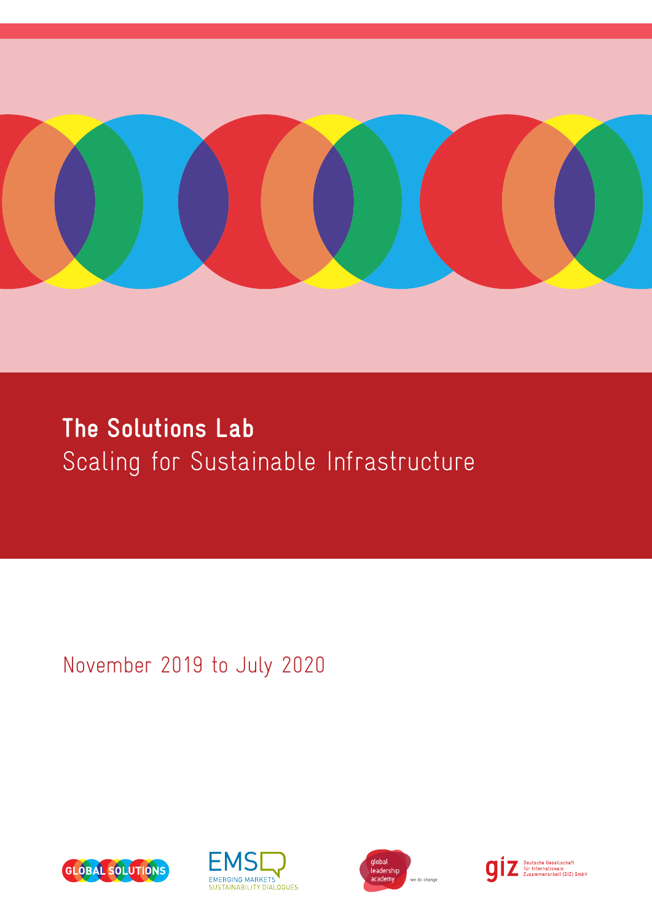

## **The Solutions Lab** Scaling for Sustainable Infrastructure

November 2019 to July 2020







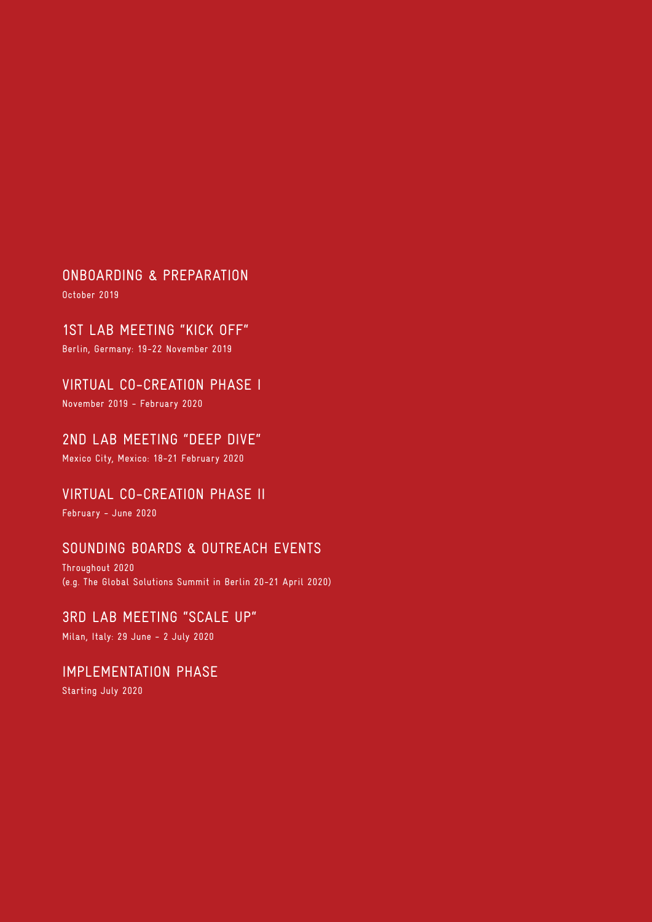ONBOARDING & PREPARATION

October 2019

1ST LAB MEETING "KICK OFF"

Berlin, Germany: 19-22 November 2019

VIRTUAL CO-CREATION PHASE I

November 2019 - February 2020

## 2ND LAB MEETING "DEEP DIVE"

Mexico City, Mexico: 18-21 February 2020

## VIRTUAL CO-CREATION PHASE II

February - June 2020

## SOUNDING BOARDS & OUTREACH EVENTS

Throughout 2020 (e.g. The Global Solutions Summit in Berlin 20-21 April 2020)

## 3RD LAB MEETING "SCALE UP"

Milan, Italy: 29 June - 2 July 2020

## IMPLEMENTATION PHASE

Starting July 2020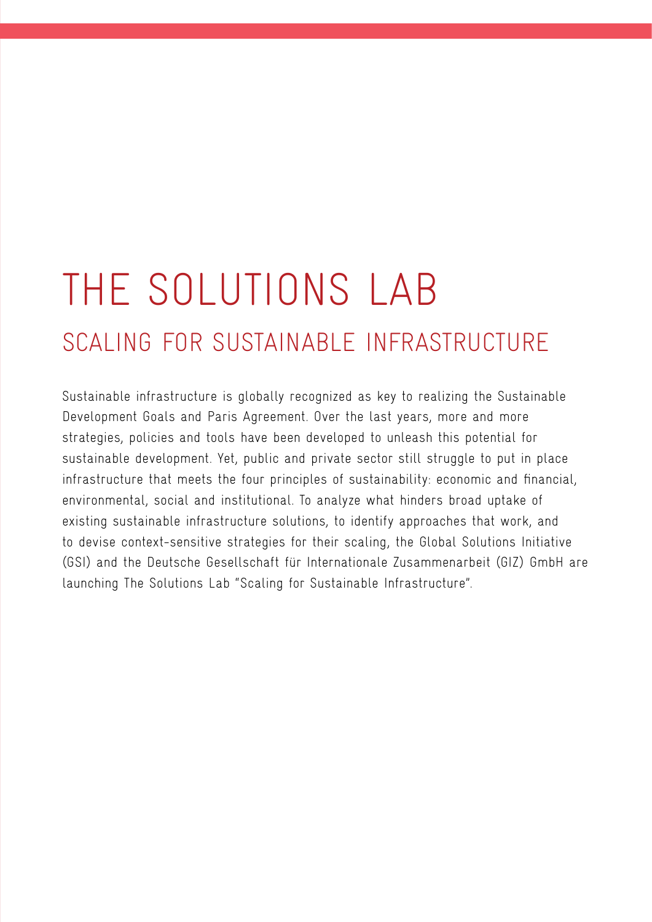## THE SOLUTIONS LAB SCALING FOR SUSTAINABLE INFRASTRUCTURE

Sustainable infrastructure is globally recognized as key to realizing the Sustainable Development Goals and Paris Agreement. Over the last years, more and more strategies, policies and tools have been developed to unleash this potential for sustainable development. Yet, public and private sector still struggle to put in place infrastructure that meets the four principles of sustainability: economic and financial, environmental, social and institutional. To analyze what hinders broad uptake of existing sustainable infrastructure solutions, to identify approaches that work, and to devise context-sensitive strategies for their scaling, the Global Solutions Initiative (GSI) and the Deutsche Gesellschaft für Internationale Zusammenarbeit (GIZ) GmbH are launching The Solutions Lab "Scaling for Sustainable Infrastructure".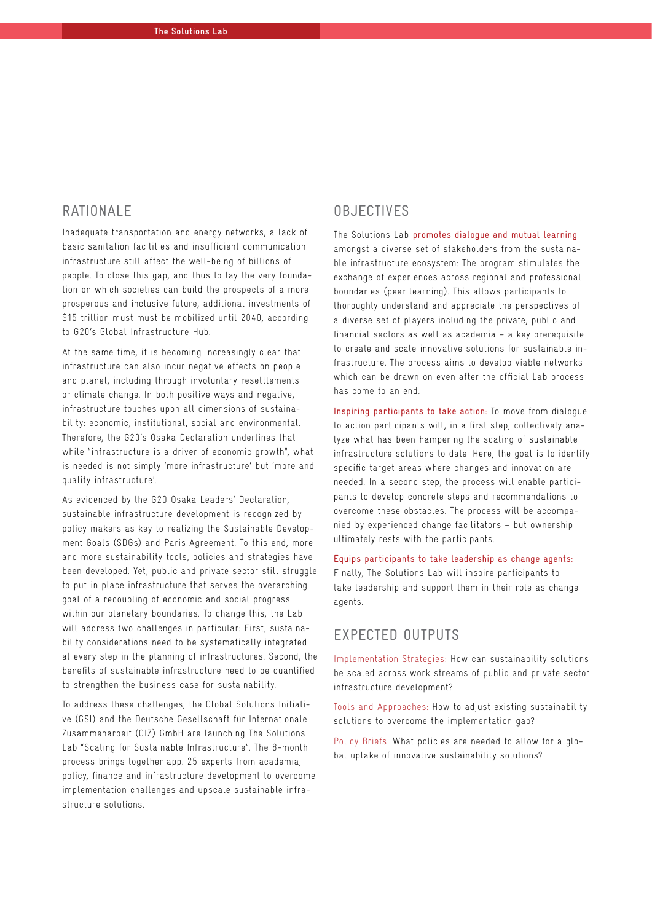## RATIONALE

Inadequate transportation and energy networks, a lack of basic sanitation facilities and insufficient communication infrastructure still affect the well-being of billions of people. To close this gap, and thus to lay the very foundation on which societies can build the prospects of a more prosperous and inclusive future, additional investments of \$15 trillion must must be mobilized until 2040, according to G20's Global Infrastructure Hub.

At the same time, it is becoming increasingly clear that infrastructure can also incur negative effects on people and planet, including through involuntary resettlements or climate change. In both positive ways and negative, infrastructure touches upon all dimensions of sustainability: economic, institutional, social and environmental. Therefore, the G20's Osaka Declaration underlines that while "infrastructure is a driver of economic growth", what is needed is not simply 'more infrastructure' but 'more and quality infrastructure'.

As evidenced by the G20 Osaka Leaders' Declaration, sustainable infrastructure development is recognized by policy makers as key to realizing the Sustainable Development Goals (SDGs) and Paris Agreement. To this end, more and more sustainability tools, policies and strategies have been developed. Yet, public and private sector still struggle to put in place infrastructure that serves the overarching goal of a recoupling of economic and social progress within our planetary boundaries. To change this, the Lab will address two challenges in particular: First, sustainability considerations need to be systematically integrated at every step in the planning of infrastructures. Second, the benefits of sustainable infrastructure need to be quantified to strengthen the business case for sustainability.

To address these challenges, the Global Solutions Initiative (GSI) and the Deutsche Gesellschaft für Internationale Zusammenarbeit (GIZ) GmbH are launching The Solutions Lab "Scaling for Sustainable Infrastructure". The 8-month process brings together app. 25 experts from academia, policy, finance and infrastructure development to overcome implementation challenges and upscale sustainable infrastructure solutions.

#### **OBJECTIVES**

The Solutions Lab promotes dialogue and mutual learning amongst a diverse set of stakeholders from the sustainable infrastructure ecosystem: The program stimulates the exchange of experiences across regional and professional boundaries (peer learning). This allows participants to thoroughly understand and appreciate the perspectives of a diverse set of players including the private, public and financial sectors as well as academia – a key prerequisite to create and scale innovative solutions for sustainable infrastructure. The process aims to develop viable networks which can be drawn on even after the official Lab process has come to an end.

Inspiring participants to take action: To move from dialogue to action participants will, in a first step, collectively analyze what has been hampering the scaling of sustainable infrastructure solutions to date. Here, the goal is to identify specific target areas where changes and innovation are needed. In a second step, the process will enable participants to develop concrete steps and recommendations to overcome these obstacles. The process will be accompanied by experienced change facilitators – but ownership ultimately rests with the participants.

## Equips participants to take leadership as change agents: Finally, The Solutions Lab will inspire participants to

take leadership and support them in their role as change agents.

## EXPECTED OUTPUTS

Implementation Strategies: How can sustainability solutions be scaled across work streams of public and private sector infrastructure development?

Tools and Approaches: How to adjust existing sustainability solutions to overcome the implementation gap?

Policy Briefs: What policies are needed to allow for a global uptake of innovative sustainability solutions?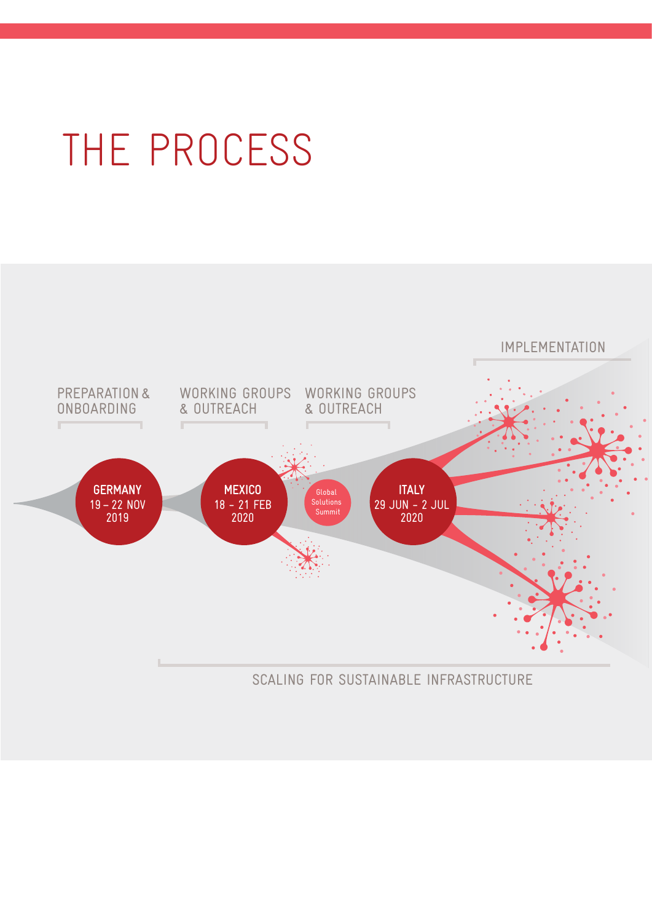# THE PROCESS

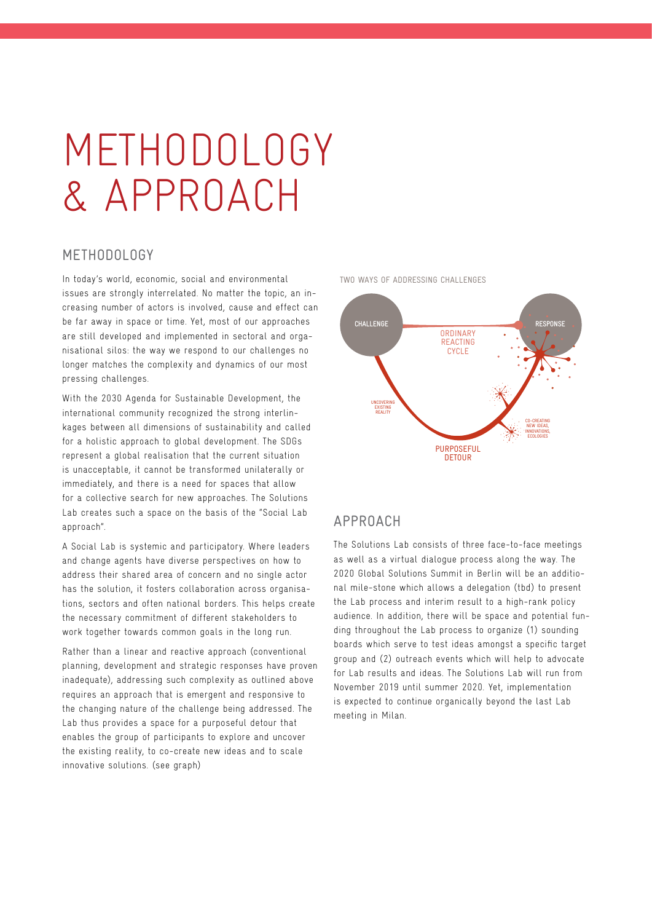## METHODOLOGY & APPROACH

#### METHODOLOGY

In today's world, economic, social and environmental issues are strongly interrelated. No matter the topic, an increasing number of actors is involved, cause and effect can be far away in space or time. Yet, most of our approaches are still developed and implemented in sectoral and organisational silos: the way we respond to our challenges no longer matches the complexity and dynamics of our most pressing challenges.

With the 2030 Agenda for Sustainable Development, the international community recognized the strong interlinkages between all dimensions of sustainability and called for a holistic approach to global development. The SDGs represent a global realisation that the current situation is unacceptable, it cannot be transformed unilaterally or immediately, and there is a need for spaces that allow for a collective search for new approaches. The Solutions Lab creates such a space on the basis of the "Social Lab approach".

A Social Lab is systemic and participatory. Where leaders and change agents have diverse perspectives on how to address their shared area of concern and no single actor has the solution, it fosters collaboration across organisations, sectors and often national borders. This helps create the necessary commitment of different stakeholders to work together towards common goals in the long run.

Rather than a linear and reactive approach (conventional planning, development and strategic responses have proven inadequate), addressing such complexity as outlined above requires an approach that is emergent and responsive to the changing nature of the challenge being addressed. The Lab thus provides a space for a purposeful detour that enables the group of participants to explore and uncover the existing reality, to co-create new ideas and to scale innovative solutions. (see graph)



TWO WAYS OF ADDRESSING CHALLENGES

#### APPROACH

The Solutions Lab consists of three face-to-face meetings as well as a virtual dialogue process along the way. The 2020 Global Solutions Summit in Berlin will be an additional mile-stone which allows a delegation (tbd) to present the Lab process and interim result to a high-rank policy audience. In addition, there will be space and potential funding throughout the Lab process to organize (1) sounding boards which serve to test ideas amongst a specific target group and (2) outreach events which will help to advocate for Lab results and ideas. The Solutions Lab will run from November 2019 until summer 2020. Yet, implementation is expected to continue organically beyond the last Lab meeting in Milan.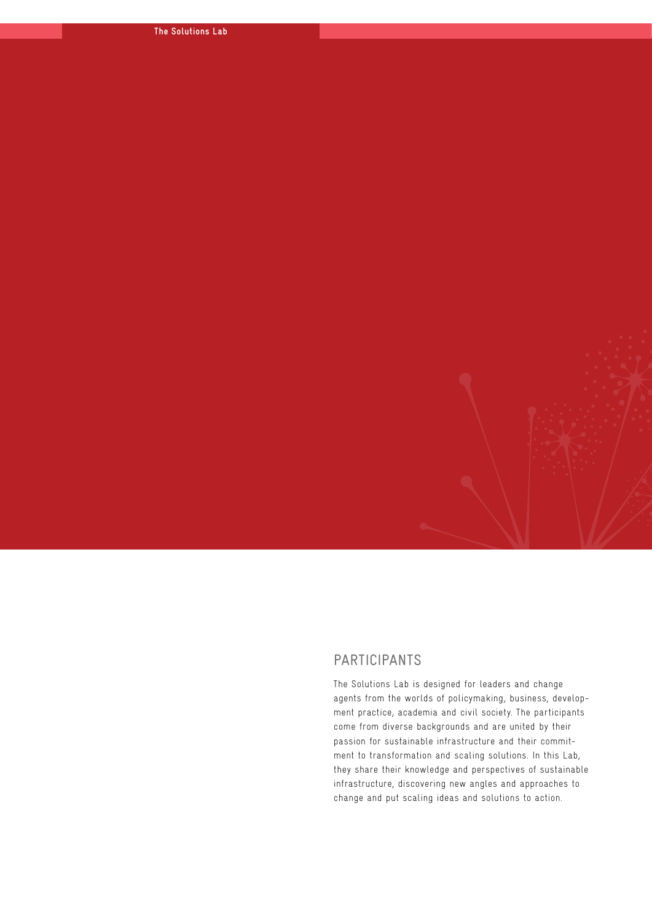#### PARTICIPANTS

The Solutions Lab is designed for leaders and change agents from the worlds of policymaking, business, development practice, academia and civil society. The participants come from diverse backgrounds and are united by their passion for sustainable infrastructure and their commitment to transformation and scaling solutions. In this Lab, they share their knowledge and perspectives of sustainable infrastructure, discovering new angles and approaches to change and put scaling ideas and solutions to action.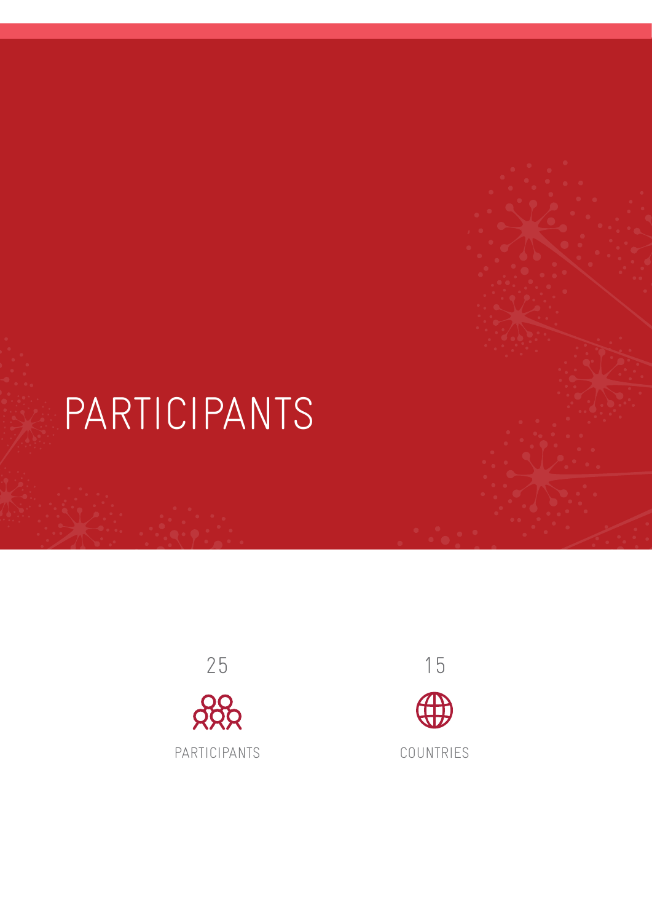# PARTICIPANTS



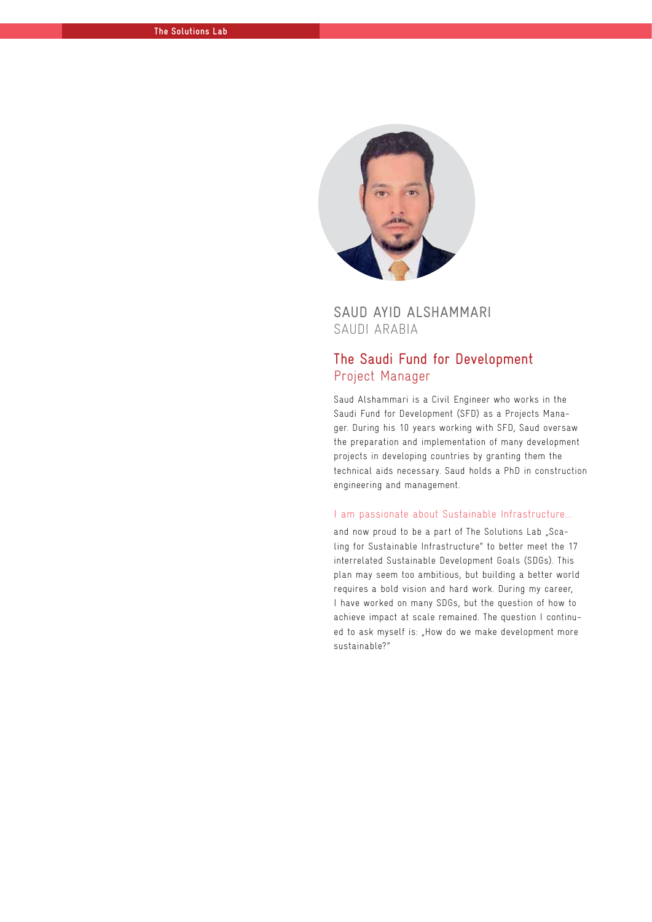

### SAUD AYID ALSHAMMARI SAUDI ARABIA

## The Saudi Fund for Development Project Manager

Saud Alshammari is a Civil Engineer who works in the Saudi Fund for Development (SFD) as a Projects Manager. During his 10 years working with SFD, Saud oversaw the preparation and implementation of many development projects in developing countries by granting them the technical aids necessary. Saud holds a PhD in construction engineering and management.

#### I am passionate about Sustainable Infrastructure...

and now proud to be a part of The Solutions Lab "Scaling for Sustainable Infrastructure" to better meet the 17 interrelated Sustainable Development Goals (SDGs). This plan may seem too ambitious, but building a better world requires a bold vision and hard work. During my career, I have worked on many SDGs, but the question of how to achieve impact at scale remained. The question I continued to ask myself is: "How do we make development more sustainable?"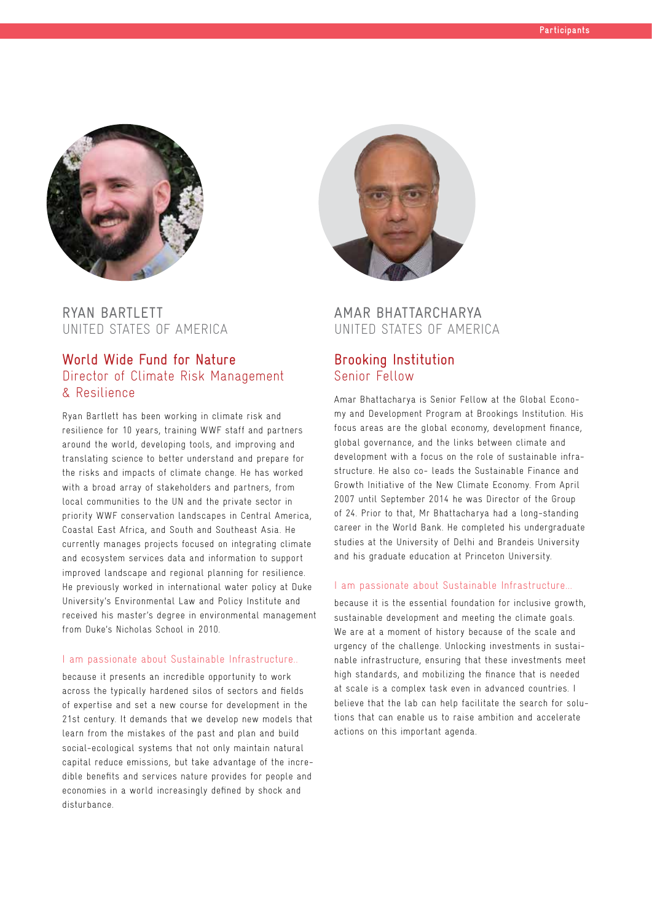

## RYAN BARTLETT UNITED STATES OF AMERICA

## World Wide Fund for Nature Director of Climate Risk Management & Resilience

Ryan Bartlett has been working in climate risk and resilience for 10 years, training WWF staff and partners around the world, developing tools, and improving and translating science to better understand and prepare for the risks and impacts of climate change. He has worked with a broad array of stakeholders and partners, from local communities to the UN and the private sector in priority WWF conservation landscapes in Central America, Coastal East Africa, and South and Southeast Asia. He currently manages projects focused on integrating climate and ecosystem services data and information to support improved landscape and regional planning for resilience. He previously worked in international water policy at Duke University's Environmental Law and Policy Institute and received his master's degree in environmental management from Duke's Nicholas School in 2010.

#### I am passionate about Sustainable Infrastructure..

because it presents an incredible opportunity to work across the typically hardened silos of sectors and fields of expertise and set a new course for development in the 21st century. It demands that we develop new models that learn from the mistakes of the past and plan and build social-ecological systems that not only maintain natural capital reduce emissions, but take advantage of the incredible benefits and services nature provides for people and economies in a world increasingly defined by shock and disturbance.



#### AMAR BHATTARCHARYA UNITED STATES OF AMERICA

#### Brooking Institution Senior Fellow

Amar Bhattacharya is Senior Fellow at the Global Economy and Development Program at Brookings Institution. His focus areas are the global economy, development finance, global governance, and the links between climate and development with a focus on the role of sustainable infrastructure. He also co- leads the Sustainable Finance and Growth Initiative of the New Climate Economy. From April 2007 until September 2014 he was Director of the Group of 24. Prior to that, Mr Bhattacharya had a long-standing career in the World Bank. He completed his undergraduate studies at the University of Delhi and Brandeis University and his graduate education at Princeton University.

#### I am passionate about Sustainable Infrastructure...

because it is the essential foundation for inclusive growth, sustainable development and meeting the climate goals. We are at a moment of history because of the scale and urgency of the challenge. Unlocking investments in sustainable infrastructure, ensuring that these investments meet high standards, and mobilizing the finance that is needed at scale is a complex task even in advanced countries. I believe that the lab can help facilitate the search for solutions that can enable us to raise ambition and accelerate actions on this important agenda.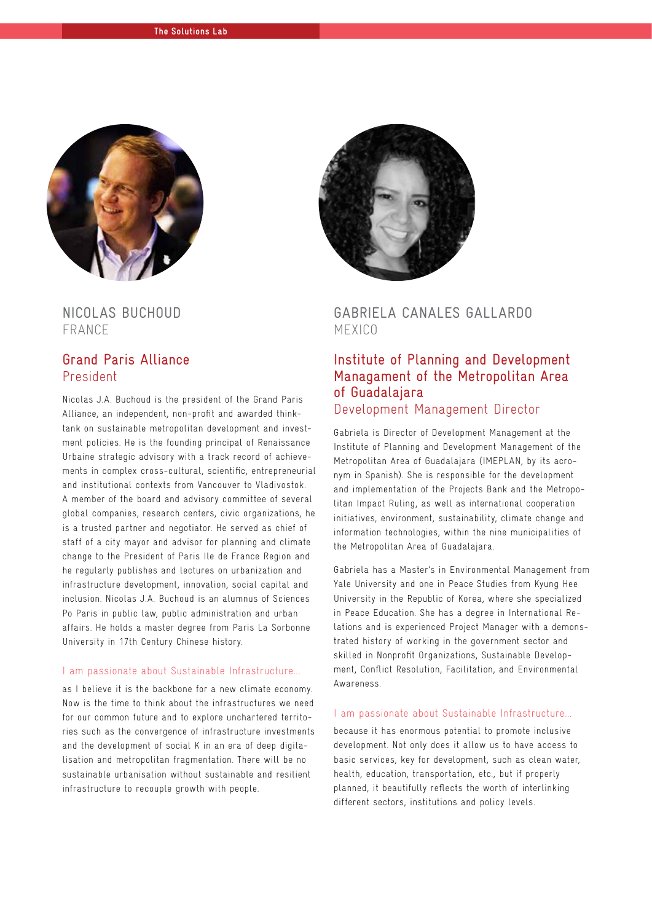

NICOLAS BUCHOUD FRANCE

#### Grand Paris Alliance President

Nicolas J.A. Buchoud is the president of the Grand Paris Alliance, an independent, non-profit and awarded thinktank on sustainable metropolitan development and investment policies. He is the founding principal of Renaissance Urbaine strategic advisory with a track record of achievements in complex cross-cultural, scientific, entrepreneurial and institutional contexts from Vancouver to Vladivostok. A member of the board and advisory committee of several global companies, research centers, civic organizations, he is a trusted partner and negotiator. He served as chief of staff of a city mayor and advisor for planning and climate change to the President of Paris Ile de France Region and he regularly publishes and lectures on urbanization and infrastructure development, innovation, social capital and inclusion. Nicolas J.A. Buchoud is an alumnus of Sciences Po Paris in public law, public administration and urban affairs. He holds a master degree from Paris La Sorbonne University in 17th Century Chinese history.

#### I am passionate about Sustainable Infrastructure...

as I believe it is the backbone for a new climate economy. Now is the time to think about the infrastructures we need for our common future and to explore unchartered territories such as the convergence of infrastructure investments and the development of social K in an era of deep digitalisation and metropolitan fragmentation. There will be no sustainable urbanisation without sustainable and resilient infrastructure to recouple growth with people.



#### GABRIELA CANALES GALLARDO MEXICO

### Institute of Planning and Development Managament of the Metropolitan Area of Guadalajara Development Management Director

Gabriela is Director of Development Management at the Institute of Planning and Development Management of the Metropolitan Area of Guadalajara (IMEPLAN, by its acronym in Spanish). She is responsible for the development and implementation of the Projects Bank and the Metropolitan Impact Ruling, as well as international cooperation initiatives, environment, sustainability, climate change and information technologies, within the nine municipalities of the Metropolitan Area of Guadalajara.

Gabriela has a Master's in Environmental Management from Yale University and one in Peace Studies from Kyung Hee University in the Republic of Korea, where she specialized in Peace Education. She has a degree in International Relations and is experienced Project Manager with a demonstrated history of working in the government sector and skilled in Nonprofit Organizations, Sustainable Development, Conflict Resolution, Facilitation, and Environmental **Awareness** 

#### I am passionate about Sustainable Infrastructure...

because it has enormous potential to promote inclusive development. Not only does it allow us to have access to basic services, key for development, such as clean water, health, education, transportation, etc., but if properly planned, it beautifully reflects the worth of interlinking different sectors, institutions and policy levels.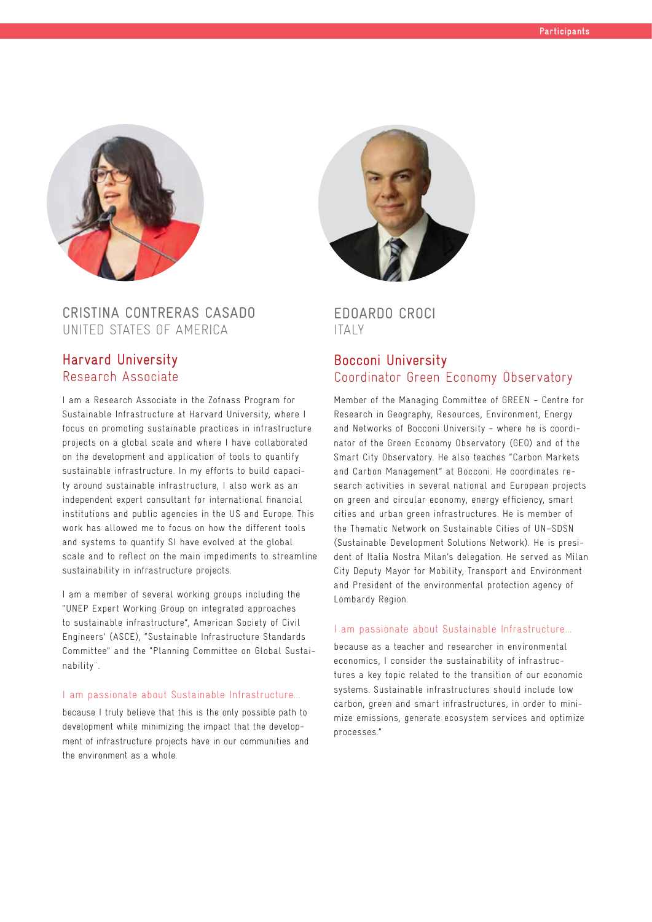

### CRISTINA CONTRERAS CASADO UNITED STATES OF AMERICA

#### Harvard University Research Associate

I am a Research Associate in the Zofnass Program for Sustainable Infrastructure at Harvard University, where I focus on promoting sustainable practices in infrastructure projects on a global scale and where I have collaborated on the development and application of tools to quantify sustainable infrastructure. In my efforts to build capacity around sustainable infrastructure, I also work as an independent expert consultant for international financial institutions and public agencies in the US and Europe. This work has allowed me to focus on how the different tools and systems to quantify SI have evolved at the global scale and to reflect on the main impediments to streamline sustainability in infrastructure projects.

I am a member of several working groups including the "UNEP Expert Working Group on integrated approaches to sustainable infrastructure", American Society of Civil Engineers' (ASCE), "Sustainable Infrastructure Standards Committee" and the "Planning Committee on Global Sustainability¨.

#### I am passionate about Sustainable Infrastructure...

because I truly believe that this is the only possible path to development while minimizing the impact that the development of infrastructure projects have in our communities and the environment as a whole.



#### EDOARDO CROCI ITALY

#### Bocconi University Coordinator Green Economy Observatory

Member of the Managing Committee of GREEN - Centre for Research in Geography, Resources, Environment, Energy and Networks of Bocconi University - where he is coordinator of the Green Economy Observatory (GEO) and of the Smart City Observatory. He also teaches "Carbon Markets and Carbon Management" at Bocconi. He coordinates research activities in several national and European projects on green and circular economy, energy efficiency, smart cities and urban green infrastructures. He is member of the Thematic Network on Sustainable Cities of UN–SDSN (Sustainable Development Solutions Network). He is president of Italia Nostra Milan's delegation. He served as Milan City Deputy Mayor for Mobility, Transport and Environment and President of the environmental protection agency of Lombardy Region.

#### I am passionate about Sustainable Infrastructure...

because as a teacher and researcher in environmental economics, I consider the sustainability of infrastructures a key topic related to the transition of our economic systems. Sustainable infrastructures should include low carbon, green and smart infrastructures, in order to minimize emissions, generate ecosystem services and optimize processes."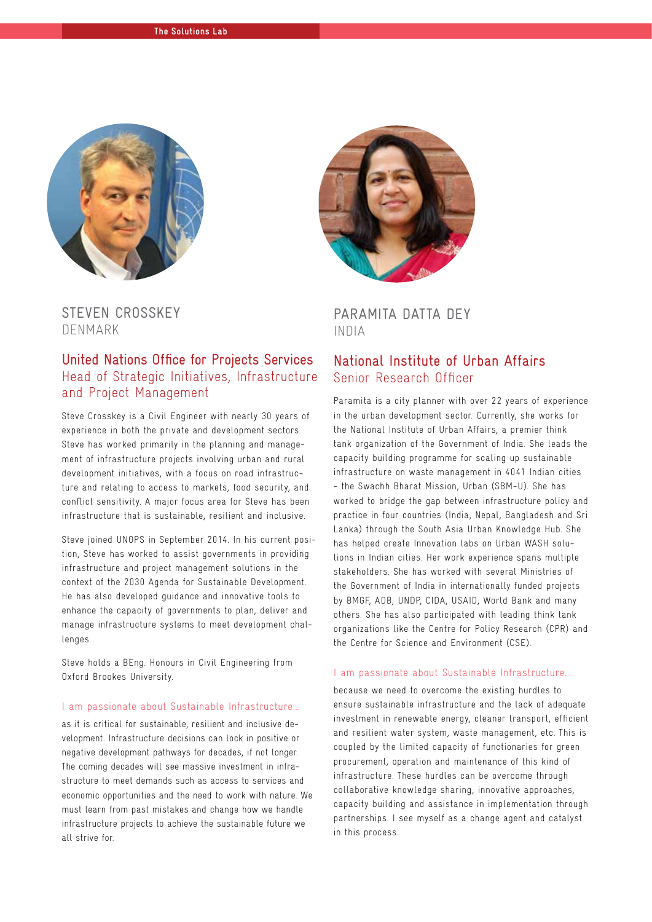

STEVEN CROSSKEY DENMARK

#### United Nations Office for Projects Services Head of Strategic Initiatives, Infrastructure and Project Management

Steve Crosskey is a Civil Engineer with nearly 30 years of experience in both the private and development sectors. Steve has worked primarily in the planning and management of infrastructure projects involving urban and rural development initiatives, with a focus on road infrastructure and relating to access to markets, food security, and conflict sensitivity. A major focus area for Steve has been infrastructure that is sustainable, resilient and inclusive.

Steve joined UNOPS in September 2014. In his current position, Steve has worked to assist governments in providing infrastructure and project management solutions in the context of the 2030 Agenda for Sustainable Development. He has also developed guidance and innovative tools to enhance the capacity of governments to plan, deliver and manage infrastructure systems to meet development challenges.

Steve holds a BEng. Honours in Civil Engineering from Oxford Brookes University.

#### I am passionate about Sustainable Infrastructure...

as it is critical for sustainable, resilient and inclusive development. Infrastructure decisions can lock in positive or negative development pathways for decades, if not longer. The coming decades will see massive investment in infrastructure to meet demands such as access to services and economic opportunities and the need to work with nature. We must learn from past mistakes and change how we handle infrastructure projects to achieve the sustainable future we all strive for.



PARAMITA DATTA DEY INDIA

#### National Institute of Urban Affairs Senior Research Officer

Paramita is a city planner with over 22 years of experience in the urban development sector. Currently, she works for the National Institute of Urban Affairs, a premier think tank organization of the Government of India. She leads the capacity building programme for scaling up sustainable infrastructure on waste management in 4041 Indian cities - the Swachh Bharat Mission, Urban (SBM-U). She has worked to bridge the gap between infrastructure policy and practice in four countries (India, Nepal, Bangladesh and Sri Lanka) through the South Asia Urban Knowledge Hub. She has helped create Innovation labs on Urban WASH solutions in Indian cities. Her work experience spans multiple stakeholders. She has worked with several Ministries of the Government of India in internationally funded projects by BMGF, ADB, UNDP, CIDA, USAID, World Bank and many others. She has also participated with leading think tank organizations like the Centre for Policy Research (CPR) and the Centre for Science and Environment (CSE).

#### I am passionate about Sustainable Infrastructure...

because we need to overcome the existing hurdles to ensure sustainable infrastructure and the lack of adequate investment in renewable energy, cleaner transport, efficient and resilient water system, waste management, etc. This is coupled by the limited capacity of functionaries for green procurement, operation and maintenance of this kind of infrastructure. These hurdles can be overcome through collaborative knowledge sharing, innovative approaches, capacity building and assistance in implementation through partnerships. I see myself as a change agent and catalyst in this process.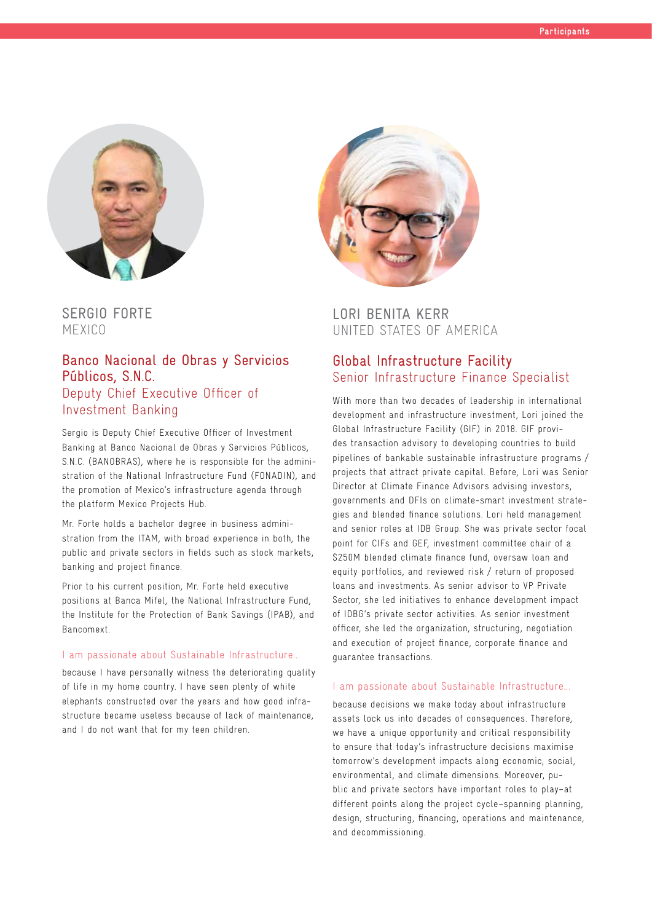

SERGIO FORTE MEXICO

#### Banco Nacional de Obras y Servicios Públicos, S.N.C. Deputy Chief Executive Officer of Investment Banking

Sergio is Deputy Chief Executive Officer of Investment Banking at Banco Nacional de Obras y Servicios Públicos, S.N.C. (BANOBRAS), where he is responsible for the administration of the National Infrastructure Fund (FONADIN), and the promotion of Mexico's infrastructure agenda through the platform Mexico Projects Hub.

Mr. Forte holds a bachelor degree in business administration from the ITAM, with broad experience in both, the public and private sectors in fields such as stock markets, banking and project finance.

Prior to his current position, Mr. Forte held executive positions at Banca Mifel, the National Infrastructure Fund, the Institute for the Protection of Bank Savings (IPAB), and Bancomext.

#### I am passionate about Sustainable Infrastructure...

because I have personally witness the deteriorating quality of life in my home country. I have seen plenty of white elephants constructed over the years and how good infrastructure became useless because of lack of maintenance, and I do not want that for my teen children.



LORI BENITA KERR UNITED STATES OF AMERICA

### Global Infrastructure Facility Senior Infrastructure Finance Specialist

With more than two decades of leadership in international development and infrastructure investment, Lori joined the Global Infrastructure Facility (GIF) in 2018. GIF provides transaction advisory to developing countries to build pipelines of bankable sustainable infrastructure programs / projects that attract private capital. Before, Lori was Senior Director at Climate Finance Advisors advising investors, governments and DFIs on climate-smart investment strategies and blended finance solutions. Lori held management and senior roles at IDB Group. She was private sector focal point for CIFs and GEF, investment committee chair of a \$250M blended climate finance fund, oversaw loan and equity portfolios, and reviewed risk / return of proposed loans and investments. As senior advisor to VP Private Sector, she led initiatives to enhance development impact of IDBG's private sector activities. As senior investment officer, she led the organization, structuring, negotiation and execution of project finance, corporate finance and guarantee transactions.

#### I am passionate about Sustainable Infrastructure...

because decisions we make today about infrastructure assets lock us into decades of consequences. Therefore, we have a unique opportunity and critical responsibility to ensure that today's infrastructure decisions maximise tomorrow's development impacts along economic, social, environmental, and climate dimensions. Moreover, public and private sectors have important roles to play–at different points along the project cycle–spanning planning, design, structuring, financing, operations and maintenance, and decommissioning.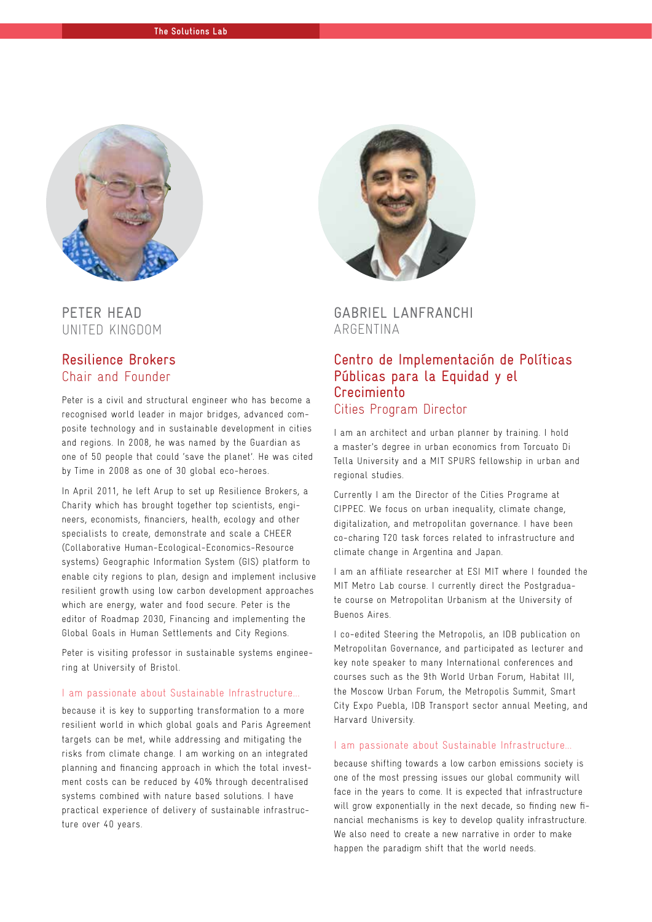

## PETER HEAD UNITED KINGDOM

#### Resilience Brokers Chair and Founder

Peter is a civil and structural engineer who has become a recognised world leader in major bridges, advanced composite technology and in sustainable development in cities and regions. In 2008, he was named by the Guardian as one of 50 people that could 'save the planet'. He was cited by Time in 2008 as one of 30 global eco-heroes.

In April 2011, he left Arup to set up Resilience Brokers, a Charity which has brought together top scientists, engineers, economists, financiers, health, ecology and other specialists to create, demonstrate and scale a CHEER (Collaborative Human-Ecological-Economics-Resource systems) Geographic Information System (GIS) platform to enable city regions to plan, design and implement inclusive resilient growth using low carbon development approaches which are energy, water and food secure. Peter is the editor of Roadmap 2030, Financing and implementing the Global Goals in Human Settlements and City Regions.

Peter is visiting professor in sustainable systems engineering at University of Bristol.

#### I am passionate about Sustainable Infrastructure...

because it is key to supporting transformation to a more resilient world in which global goals and Paris Agreement targets can be met, while addressing and mitigating the risks from climate change. I am working on an integrated planning and financing approach in which the total investment costs can be reduced by 40% through decentralised systems combined with nature based solutions. I have practical experience of delivery of sustainable infrastructure over 40 years.



GABRIEL LANFRANCHI ARGENTINA

#### Centro de Implementación de Políticas Públicas para la Equidad y el Crecimiento Cities Program Director

I am an architect and urban planner by training. I hold a master's degree in urban economics from Torcuato Di Tella University and a MIT SPURS fellowship in urban and regional studies.

Currently I am the Director of the Cities Programe at CIPPEC. We focus on urban inequality, climate change, digitalization, and metropolitan governance. I have been co-charing T20 task forces related to infrastructure and climate change in Argentina and Japan.

I am an affiliate researcher at ESI MIT where I founded the MIT Metro Lab course. I currently direct the Postgraduate course on Metropolitan Urbanism at the University of Buenos Aires.

I co-edited Steering the Metropolis, an IDB publication on Metropolitan Governance, and participated as lecturer and key note speaker to many International conferences and courses such as the 9th World Urban Forum, Habitat III, the Moscow Urban Forum, the Metropolis Summit, Smart City Expo Puebla, IDB Transport sector annual Meeting, and Harvard University.

#### I am passionate about Sustainable Infrastructure...

because shifting towards a low carbon emissions society is one of the most pressing issues our global community will face in the years to come. It is expected that infrastructure will grow exponentially in the next decade, so finding new financial mechanisms is key to develop quality infrastructure. We also need to create a new narrative in order to make happen the paradigm shift that the world needs.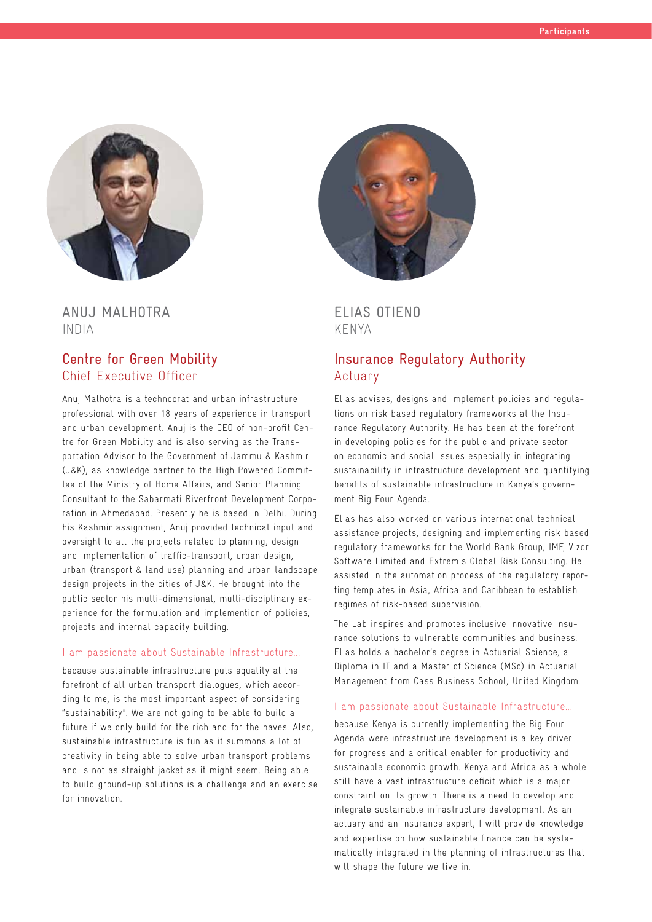

ANUJ MALHOTRA INDIA

#### Centre for Green Mobility Chief Executive Officer

Anuj Malhotra is a technocrat and urban infrastructure professional with over 18 years of experience in transport and urban development. Anuj is the CEO of non-profit Centre for Green Mobility and is also serving as the Transportation Advisor to the Government of Jammu & Kashmir (J&K), as knowledge partner to the High Powered Committee of the Ministry of Home Affairs, and Senior Planning Consultant to the Sabarmati Riverfront Development Corporation in Ahmedabad. Presently he is based in Delhi. During his Kashmir assignment, Anuj provided technical input and oversight to all the projects related to planning, design and implementation of traffic-transport, urban design, urban (transport & land use) planning and urban landscape design projects in the cities of J&K. He brought into the public sector his multi-dimensional, multi-disciplinary experience for the formulation and implemention of policies, projects and internal capacity building.

#### I am passionate about Sustainable Infrastructure...

because sustainable infrastructure puts equality at the forefront of all urban transport dialogues, which according to me, is the most important aspect of considering "sustainability". We are not going to be able to build a future if we only build for the rich and for the haves. Also, sustainable infrastructure is fun as it summons a lot of creativity in being able to solve urban transport problems and is not as straight jacket as it might seem. Being able to build ground-up solutions is a challenge and an exercise for innovation.



ELIAS OTIENO KENYA

#### Insurance Regulatory Authority Actuary

Elias advises, designs and implement policies and regulations on risk based regulatory frameworks at the Insurance Regulatory Authority. He has been at the forefront in developing policies for the public and private sector on economic and social issues especially in integrating sustainability in infrastructure development and quantifying benefits of sustainable infrastructure in Kenya's government Big Four Agenda.

Elias has also worked on various international technical assistance projects, designing and implementing risk based regulatory frameworks for the World Bank Group, IMF, Vizor Software Limited and Extremis Global Risk Consulting. He assisted in the automation process of the regulatory reporting templates in Asia, Africa and Caribbean to establish regimes of risk-based supervision.

The Lab inspires and promotes inclusive innovative insurance solutions to vulnerable communities and business. Elias holds a bachelor's degree in Actuarial Science, a Diploma in IT and a Master of Science (MSc) in Actuarial Management from Cass Business School, United Kingdom.

#### I am passionate about Sustainable Infrastructure...

because Kenya is currently implementing the Big Four Agenda were infrastructure development is a key driver for progress and a critical enabler for productivity and sustainable economic growth. Kenya and Africa as a whole still have a vast infrastructure deficit which is a major constraint on its growth. There is a need to develop and integrate sustainable infrastructure development. As an actuary and an insurance expert, I will provide knowledge and expertise on how sustainable finance can be systematically integrated in the planning of infrastructures that will shape the future we live in.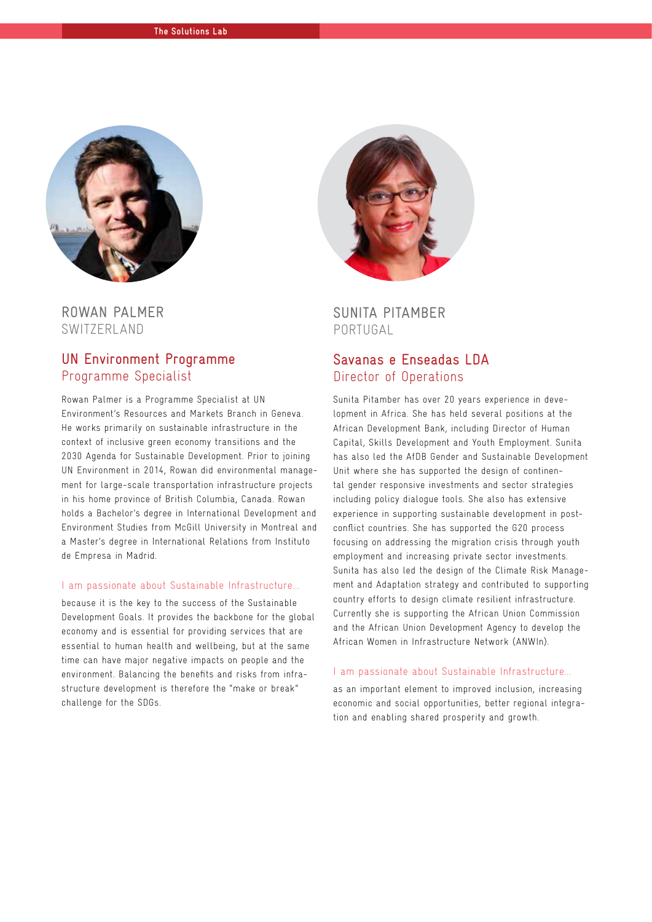

ROWAN PALMER SWITZERLAND

#### UN Environment Programme Programme Specialist

Rowan Palmer is a Programme Specialist at UN Environment's Resources and Markets Branch in Geneva. He works primarily on sustainable infrastructure in the context of inclusive green economy transitions and the 2030 Agenda for Sustainable Development. Prior to joining UN Environment in 2014, Rowan did environmental management for large-scale transportation infrastructure projects in his home province of British Columbia, Canada. Rowan holds a Bachelor's degree in International Development and Environment Studies from McGill University in Montreal and a Master's degree in International Relations from Instituto de Empresa in Madrid.

#### I am passionate about Sustainable Infrastructure...

because it is the key to the success of the Sustainable Development Goals. It provides the backbone for the global economy and is essential for providing services that are essential to human health and wellbeing, but at the same time can have major negative impacts on people and the environment. Balancing the benefits and risks from infrastructure development is therefore the "make or break" challenge for the SDGs.



SUNITA PITAMBER PORTUGAL

#### Savanas e Enseadas LDA Director of Operations

Sunita Pitamber has over 20 years experience in development in Africa. She has held several positions at the African Development Bank, including Director of Human Capital, Skills Development and Youth Employment. Sunita has also led the AfDB Gender and Sustainable Development Unit where she has supported the design of continental gender responsive investments and sector strategies including policy dialogue tools. She also has extensive experience in supporting sustainable development in postconflict countries. She has supported the G20 process focusing on addressing the migration crisis through youth employment and increasing private sector investments. Sunita has also led the design of the Climate Risk Management and Adaptation strategy and contributed to supporting country efforts to design climate resilient infrastructure. Currently she is supporting the African Union Commission and the African Union Development Agency to develop the African Women in Infrastructure Network (ANWIn).

#### I am passionate about Sustainable Infrastructure...

as an important element to improved inclusion, increasing economic and social opportunities, better regional integration and enabling shared prosperity and growth.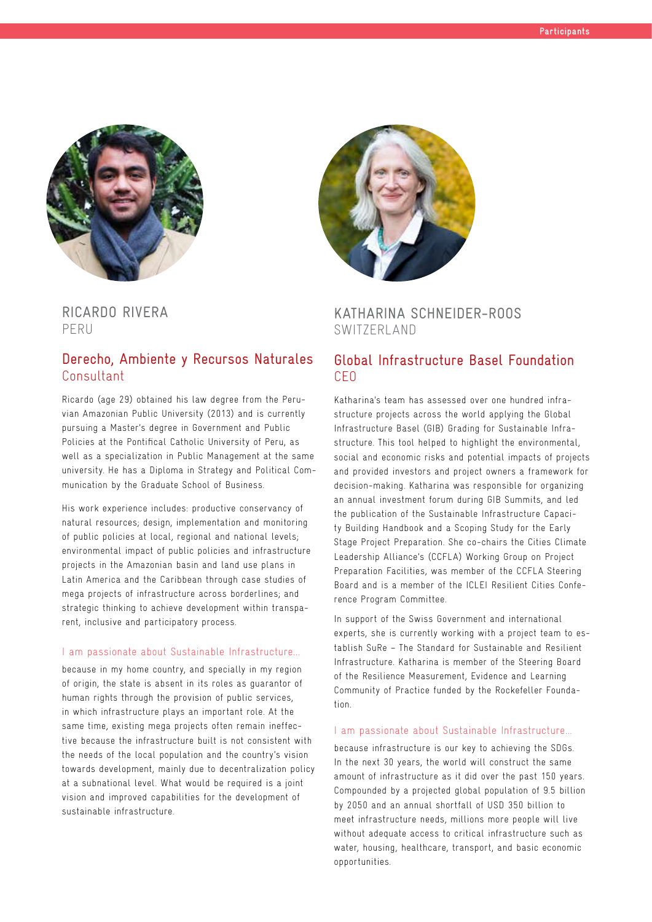

RICARDO RIVERA PERU

#### Derecho, Ambiente y Recursos Naturales Consultant

Ricardo (age 29) obtained his law degree from the Peruvian Amazonian Public University (2013) and is currently pursuing a Master's degree in Government and Public Policies at the Pontifical Catholic University of Peru, as well as a specialization in Public Management at the same university. He has a Diploma in Strategy and Political Communication by the Graduate School of Business.

His work experience includes: productive conservancy of natural resources; design, implementation and monitoring of public policies at local, regional and national levels; environmental impact of public policies and infrastructure projects in the Amazonian basin and land use plans in Latin America and the Caribbean through case studies of mega projects of infrastructure across borderlines; and strategic thinking to achieve development within transparent, inclusive and participatory process.

#### I am passionate about Sustainable Infrastructure...

because in my home country, and specially in my region of origin, the state is absent in its roles as guarantor of human rights through the provision of public services, in which infrastructure plays an important role. At the same time, existing mega projects often remain ineffective because the infrastructure built is not consistent with the needs of the local population and the country's vision towards development, mainly due to decentralization policy at a subnational level. What would be required is a joint vision and improved capabilities for the development of sustainable infrastructure.



#### KATHARINA SCHNEIDER-ROOS SWITZERLAND

#### Global Infrastructure Basel Foundation CEO

Katharina's team has assessed over one hundred infrastructure projects across the world applying the Global Infrastructure Basel (GIB) Grading for Sustainable Infrastructure. This tool helped to highlight the environmental, social and economic risks and potential impacts of projects and provided investors and project owners a framework for decision-making. Katharina was responsible for organizing an annual investment forum during GIB Summits, and led the publication of the Sustainable Infrastructure Capacity Building Handbook and a Scoping Study for the Early Stage Project Preparation. She co-chairs the Cities Climate Leadership Alliance's (CCFLA) Working Group on Project Preparation Facilities, was member of the CCFLA Steering Board and is a member of the ICLEI Resilient Cities Conference Program Committee.

In support of the Swiss Government and international experts, she is currently working with a project team to establish SuRe – The Standard for Sustainable and Resilient Infrastructure. Katharina is member of the Steering Board of the Resilience Measurement, Evidence and Learning Community of Practice funded by the Rockefeller Foundation.

#### I am passionate about Sustainable Infrastructure...

because infrastructure is our key to achieving the SDGs. In the next 30 years, the world will construct the same amount of infrastructure as it did over the past 150 years. Compounded by a projected global population of 9.5 billion by 2050 and an annual shortfall of USD 350 billion to meet infrastructure needs, millions more people will live without adequate access to critical infrastructure such as water, housing, healthcare, transport, and basic economic opportunities.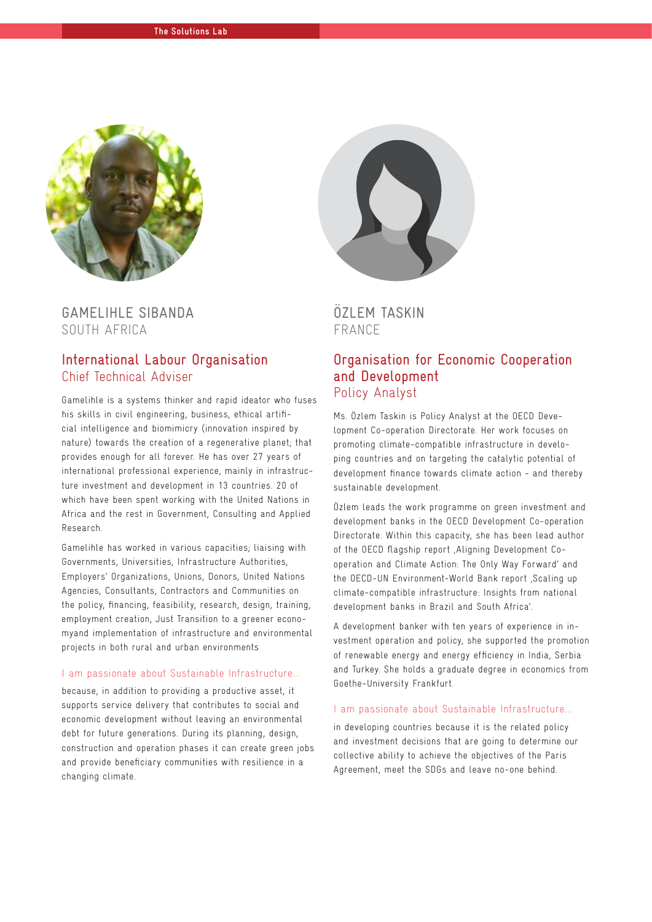

GAMELIHLE SIBANDA SOUTH AFRICA

#### International Labour Organisation Chief Technical Adviser

Gamelihle is a systems thinker and rapid ideator who fuses his skills in civil engineering, business, ethical artificial intelligence and biomimicry (innovation inspired by nature) towards the creation of a regenerative planet; that provides enough for all forever. He has over 27 years of international professional experience, mainly in infrastructure investment and development in 13 countries. 20 of which have been spent working with the United Nations in Africa and the rest in Government, Consulting and Applied Research.

Gamelihle has worked in various capacities; liaising with Governments, Universities, Infrastructure Authorities, Employers' Organizations, Unions, Donors, United Nations Agencies, Consultants, Contractors and Communities on the policy, financing, feasibility, research, design, training, employment creation, Just Transition to a greener economyand implementation of infrastructure and environmental projects in both rural and urban environments

#### I am passionate about Sustainable Infrastructure...

because, in addition to providing a productive asset, it supports service delivery that contributes to social and economic development without leaving an environmental debt for future generations. During its planning, design, construction and operation phases it can create green jobs and provide beneficiary communities with resilience in a changing climate.



#### ÖZLEM TASKIN FRANCE

#### Organisation for Economic Cooperation and Development Policy Analyst

Ms. Özlem Taskin is Policy Analyst at the OECD Development Co-operation Directorate. Her work focuses on promoting climate-compatible infrastructure in developing countries and on targeting the catalytic potential of development finance towards climate action - and thereby sustainable development.

Özlem leads the work programme on green investment and development banks in the OECD Development Co-operation Directorate. Within this capacity, she has been lead author of the OECD flagship report , Aligning Development Cooperation and Climate Action: The Only Way Forward' and the OECD-UN Environment-World Bank report Scaling up climate-compatible infrastructure: Insights from national development banks in Brazil and South Africa'.

A development banker with ten years of experience in investment operation and policy, she supported the promotion of renewable energy and energy efficiency in India, Serbia and Turkey. She holds a graduate degree in economics from Goethe-University Frankfurt.

#### I am passionate about Sustainable Infrastructure...

in developing countries because it is the related policy and investment decisions that are going to determine our collective ability to achieve the objectives of the Paris Agreement, meet the SDGs and leave no-one behind.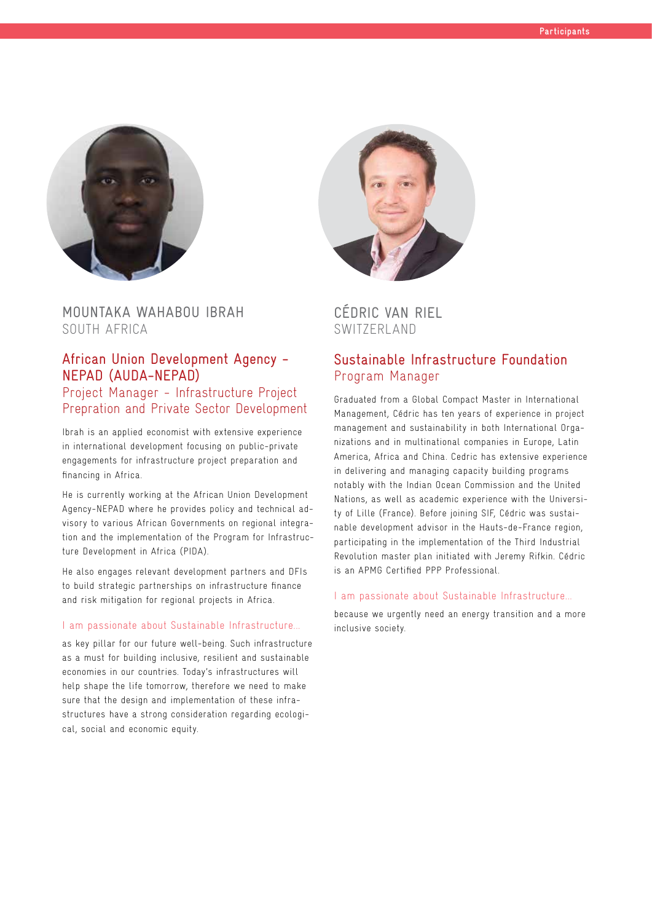

MOUNTAKA WAHABOU IBRAH SOUTH AFRICA

## African Union Development Agency - NEPAD (AUDA-NEPAD)

#### Project Manager - Infrastructure Project Prepration and Private Sector Development

Ibrah is an applied economist with extensive experience in international development focusing on public-private engagements for infrastructure project preparation and financing in Africa.

He is currently working at the African Union Development Agency-NEPAD where he provides policy and technical advisory to various African Governments on regional integration and the implementation of the Program for Infrastructure Development in Africa (PIDA).

He also engages relevant development partners and DFIs to build strategic partnerships on infrastructure finance and risk mitigation for regional projects in Africa.

#### I am passionate about Sustainable Infrastructure...

as key pillar for our future well-being. Such infrastructure as a must for building inclusive, resilient and sustainable economies in our countries. Today's infrastructures will help shape the life tomorrow, therefore we need to make sure that the design and implementation of these infrastructures have a strong consideration regarding ecological, social and economic equity.



## CÉDRIC VAN RIEL SWITZERLAND

### Sustainable Infrastructure Foundation Program Manager

Graduated from a Global Compact Master in International Management, Cédric has ten years of experience in project management and sustainability in both International Organizations and in multinational companies in Europe, Latin America, Africa and China. Cedric has extensive experience in delivering and managing capacity building programs notably with the Indian Ocean Commission and the United Nations, as well as academic experience with the University of Lille (France). Before joining SIF, Cédric was sustainable development advisor in the Hauts-de-France region, participating in the implementation of the Third Industrial Revolution master plan initiated with Jeremy Rifkin. Cédric is an APMG Certified PPP Professional.

#### I am passionate about Sustainable Infrastructure...

because we urgently need an energy transition and a more inclusive society.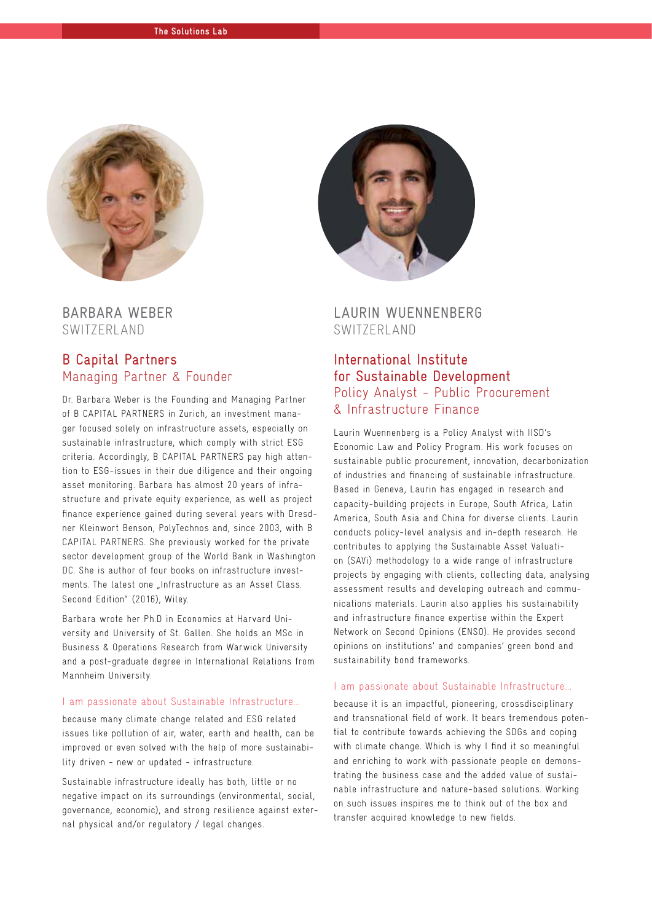

BARBARA WEBER SWITZERLAND

#### B Capital Partners Managing Partner & Founder

Dr. Barbara Weber is the Founding and Managing Partner of B CAPITAL PARTNERS in Zurich, an investment manager focused solely on infrastructure assets, especially on sustainable infrastructure, which comply with strict ESG criteria. Accordingly, B CAPITAL PARTNERS pay high attention to ESG-issues in their due diligence and their ongoing asset monitoring. Barbara has almost 20 years of infrastructure and private equity experience, as well as project finance experience gained during several years with Dresdner Kleinwort Benson, PolyTechnos and, since 2003, with B CAPITAL PARTNERS. She previously worked for the private sector development group of the World Bank in Washington DC. She is author of four books on infrastructure investments. The latest one "Infrastructure as an Asset Class. Second Edition" (2016), Wiley.

Barbara wrote her Ph.D in Economics at Harvard University and University of St. Gallen. She holds an MSc in Business & Operations Research from Warwick University and a post-graduate degree in International Relations from Mannheim University.

#### I am passionate about Sustainable Infrastructure...

because many climate change related and ESG related issues like pollution of air, water, earth and health, can be improved or even solved with the help of more sustainability driven - new or updated - infrastructure.

Sustainable infrastructure ideally has both, little or no negative impact on its surroundings (environmental, social, governance, economic), and strong resilience against external physical and/or regulatory / legal changes.



LAURIN WUENNENBERG SWITZERLAND

### International Institute for Sustainable Development Policy Analyst - Public Procurement & Infrastructure Finance

Laurin Wuennenberg is a Policy Analyst with IISD's Economic Law and Policy Program. His work focuses on sustainable public procurement, innovation, decarbonization of industries and financing of sustainable infrastructure. Based in Geneva, Laurin has engaged in research and capacity-building projects in Europe, South Africa, Latin America, South Asia and China for diverse clients. Laurin conducts policy-level analysis and in-depth research. He contributes to applying the Sustainable Asset Valuation (SAVi) methodology to a wide range of infrastructure projects by engaging with clients, collecting data, analysing assessment results and developing outreach and communications materials. Laurin also applies his sustainability and infrastructure finance expertise within the Expert Network on Second Opinions (ENSO). He provides second opinions on institutions' and companies' green bond and sustainability bond frameworks.

#### I am passionate about Sustainable Infrastructure...

because it is an impactful, pioneering, crossdisciplinary and transnational field of work. It bears tremendous potential to contribute towards achieving the SDGs and coping with climate change. Which is why I find it so meaningful and enriching to work with passionate people on demonstrating the business case and the added value of sustainable infrastructure and nature-based solutions. Working on such issues inspires me to think out of the box and transfer acquired knowledge to new fields.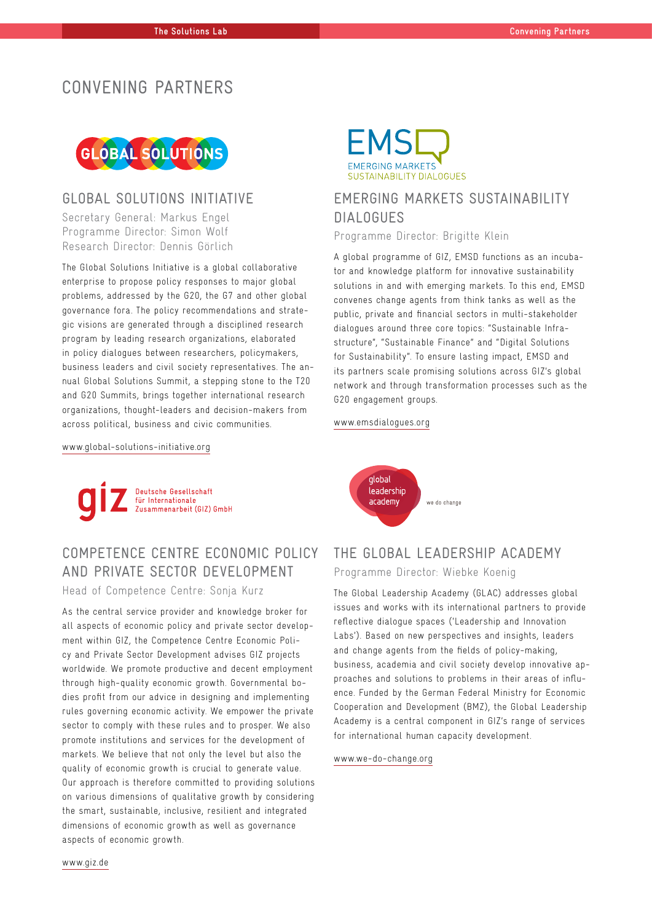## CONVENING PARTNERS



#### GLOBAL SOLUTIONS INITIATIVE

Secretary General: Markus Engel Programme Director: Simon Wolf Research Director: Dennis Görlich

The Global Solutions Initiative is a global collaborative enterprise to propose policy responses to major global problems, addressed by the G20, the G7 and other global governance fora. The policy recommendations and strategic visions are generated through a disciplined research program by leading research organizations, elaborated in policy dialogues between researchers, policymakers, business leaders and civil society representatives. The annual Global Solutions Summit, a stepping stone to the T20 and G20 Summits, brings together international research organizations, thought-leaders and decision-makers from across political, business and civic communities.



## EMERGING MARKETS SUSTAINABILITY DIALOGUES

Programme Director: Brigitte Klein

A global programme of GIZ, EMSD functions as an incubator and knowledge platform for innovative sustainability solutions in and with emerging markets. To this end, EMSD convenes change agents from think tanks as well as the public, private and financial sectors in multi-stakeholder dialogues around three core topics: "Sustainable Infrastructure", "Sustainable Finance" and "Digital Solutions for Sustainability". To ensure lasting impact, EMSD and its partners scale promising solutions across GIZ's global network and through transformation processes such as the G20 engagement groups.

#### www.emsdialogues.org

www.global-solutions-initiative.org



## COMPETENCE CENTRE ECONOMIC POLICY AND PRIVATE SECTOR DEVELOPMENT

Head of Competence Centre: Sonja Kurz

As the central service provider and knowledge broker for all aspects of economic policy and private sector development within GIZ, the Competence Centre Economic Policy and Private Sector Development advises GIZ projects worldwide. We promote productive and decent employment through high-quality economic growth. Governmental bodies profit from our advice in designing and implementing rules governing economic activity. We empower the private sector to comply with these rules and to prosper. We also promote institutions and services for the development of markets. We believe that not only the level but also the quality of economic growth is crucial to generate value. Our approach is therefore committed to providing solutions on various dimensions of qualitative growth by considering the smart, sustainable, inclusive, resilient and integrated dimensions of economic growth as well as governance aspects of economic growth.

alobal leadership academy we do change

## THE GLOBAL LEADERSHIP ACADEMY

Programme Director: Wiebke Koenig

The Global Leadership Academy (GLAC) addresses global issues and works with its international partners to provide reflective dialogue spaces ('Leadership and Innovation Labs'). Based on new perspectives and insights, leaders and change agents from the fields of policy-making, business, academia and civil society develop innovative approaches and solutions to problems in their areas of influence. Funded by the German Federal Ministry for Economic Cooperation and Development (BMZ), the Global Leadership Academy is a central component in GIZ's range of services for international human capacity development.

#### www.we-do-change.org

www.giz.de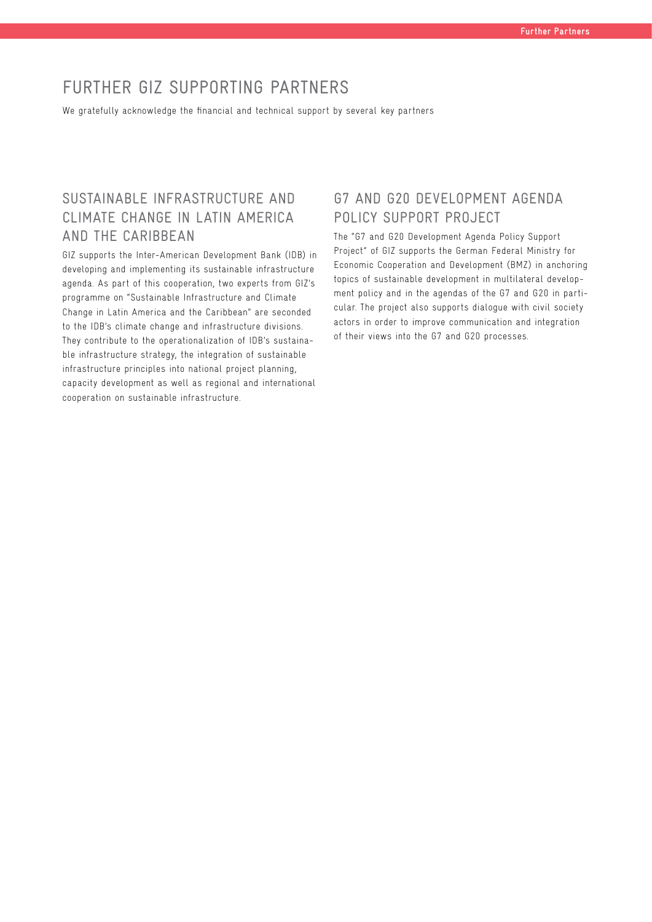## FURTHER GIZ SUPPORTING PARTNERS

We gratefully acknowledge the financial and technical support by several key partners

## SUSTAINABLE INFRASTRUCTURE AND CLIMATE CHANGE IN LATIN AMERICA AND THE CARIBBEAN

GIZ supports the Inter-American Development Bank (IDB) in developing and implementing its sustainable infrastructure agenda. As part of this cooperation, two experts from GIZ's programme on "Sustainable Infrastructure and Climate Change in Latin America and the Caribbean" are seconded to the IDB's climate change and infrastructure divisions. They contribute to the operationalization of IDB's sustainable infrastructure strategy, the integration of sustainable infrastructure principles into national project planning, capacity development as well as regional and international cooperation on sustainable infrastructure.

## G7 AND G20 DEVELOPMENT AGENDA POLICY SUPPORT PROJECT

The "G7 and G20 Development Agenda Policy Support Project" of GIZ supports the German Federal Ministry for Economic Cooperation and Development (BMZ) in anchoring topics of sustainable development in multilateral development policy and in the agendas of the G7 and G20 in particular. The project also supports dialogue with civil society actors in order to improve communication and integration of their views into the G7 and G20 processes.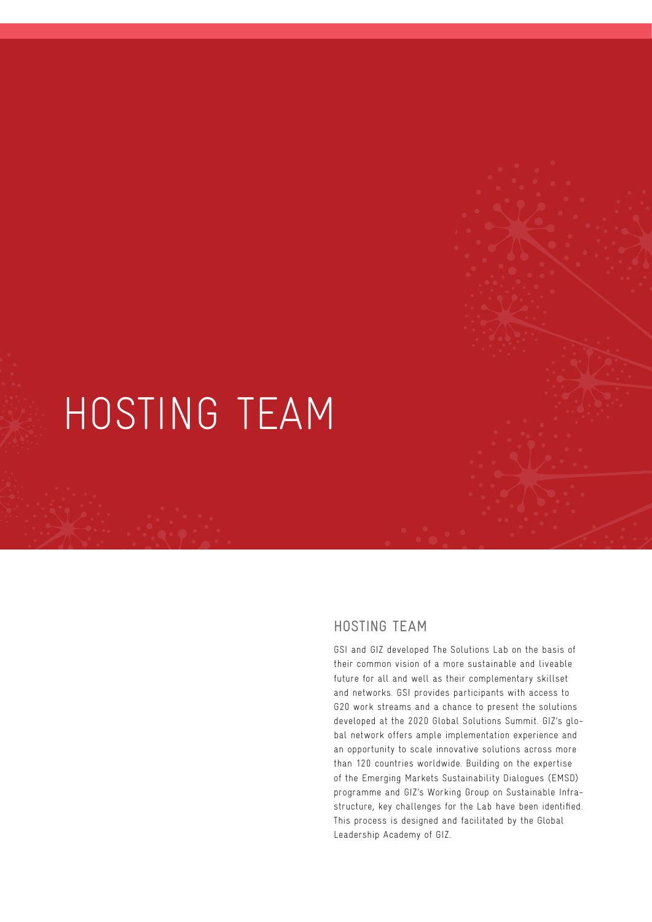## HOSTING TEAM

## HOSTING TEAM

GSI and GIZ developed The Solutions Lab on the basis of their common vision of a more sustainable and liveable future for all and well as their complementary skillset and networks. GSI provides participants with access to G20 work streams and a chance to present the solutions developed at the 2020 Global Solutions Summit. GIZ's global network offers ample implementation experience and an opportunity to scale innovative solutions across more than 120 countries worldwide. Building on the expertise of the Emerging Markets Sustainability Dialogues (EMSD) programme and GIZ's Working Group on Sustainable Infrastructure, key challenges for the Lab have been identified. This process is designed and facilitated by the Global Leadership Academy of GIZ.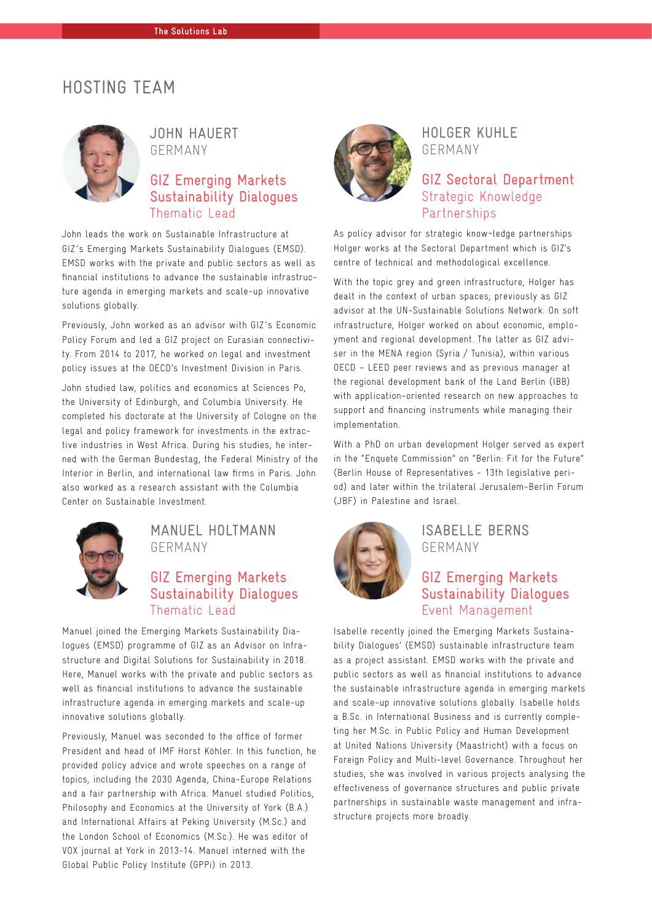## HOSTING TEAM



JOHN HAUERT GERMANY

## GIZ Emerging Markets Sustainability Dialogues Thematic Lead

John leads the work on Sustainable Infrastructure at GIZ´s Emerging Markets Sustainability Dialogues (EMSD). EMSD works with the private and public sectors as well as financial institutions to advance the sustainable infrastructure agenda in emerging markets and scale-up innovative solutions globally.

Previously, John worked as an advisor with GIZ´s Economic Policy Forum and led a GIZ project on Eurasian connectivity. From 2014 to 2017, he worked on legal and investment policy issues at the OECD's Investment Division in Paris.

John studied law, politics and economics at Sciences Po, the University of Edinburgh, and Columbia University. He completed his doctorate at the University of Cologne on the legal and policy framework for investments in the extractive industries in West Africa. During his studies, he interned with the German Bundestag, the Federal Ministry of the Interior in Berlin, and international law firms in Paris. John also worked as a research assistant with the Columbia Center on Sustainable Investment.



## MANUEL HOLTMANN GERMANY

## GIZ Emerging Markets Sustainability Dialogues Thematic Lead

Manuel joined the Emerging Markets Sustainability Dialogues (EMSD) programme of GIZ as an Advisor on Infrastructure and Digital Solutions for Sustainability in 2018. Here, Manuel works with the private and public sectors as well as financial institutions to advance the sustainable infrastructure agenda in emerging markets and scale-up innovative solutions globally.

Previously, Manuel was seconded to the office of former President and head of IMF Horst Köhler. In this function, he provided policy advice and wrote speeches on a range of topics, including the 2030 Agenda, China-Europe Relations and a fair partnership with Africa. Manuel studied Politics, Philosophy and Economics at the University of York (B.A.) and International Affairs at Peking University (M.Sc.) and the London School of Economics (M.Sc.). He was editor of VOX journal at York in 2013-14. Manuel interned with the Global Public Policy Institute (GPPi) in 2013.



HOLGER KUHLE GERMANY

## GIZ Sectoral Department Strategic Knowledge Partnerships

As policy advisor for strategic know¬ledge partnerships Holger works at the Sectoral Department which is GIZ's centre of technical and methodological excellence.

With the topic grey and green infrastructure, Holger has dealt in the context of urban spaces; previously as GIZ advisor at the UN-Sustainable Solutions Network. On soft infrastructure, Holger worked on about economic, employment and regional development. The latter as GIZ adviser in the MENA region (Syria / Tunisia), within various OECD – LEED peer reviews and as previous manager at the regional development bank of the Land Berlin (IBB) with application-oriented research on new approaches to support and financing instruments while managing their implementation.

With a PhD on urban development Holger served as expert in the "Enquete Commission" on "Berlin: Fit for the Future" (Berlin House of Representatives - 13th legislative period) and later within the trilateral Jerusalem-Berlin Forum (JBF) in Palestine and Israel.



#### ISABELLE BERNS GERMANY

## GIZ Emerging Markets Sustainability Dialogues Event Management

Isabelle recently joined the Emerging Markets Sustainability Dialogues' (EMSD) sustainable infrastructure team as a project assistant. EMSD works with the private and public sectors as well as financial institutions to advance the sustainable infrastructure agenda in emerging markets and scale-up innovative solutions globally. Isabelle holds a B.Sc. in International Business and is currently completing her M.Sc. in Public Policy and Human Development at United Nations University (Maastricht) with a focus on Foreign Policy and Multi-level Governance. Throughout her studies, she was involved in various projects analysing the effectiveness of governance structures and public private partnerships in sustainable waste management and infrastructure projects more broadly.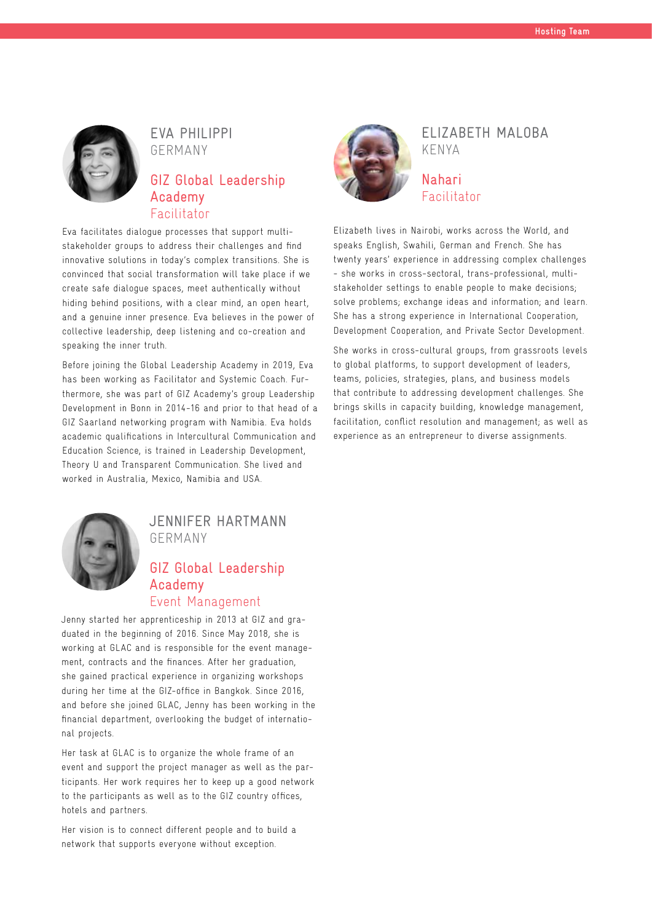

EVA PHILIPPI GERMANY

#### GIZ Global Leadership Academy Facilitator

Eva facilitates dialogue processes that support multistakeholder groups to address their challenges and find innovative solutions in today's complex transitions. She is convinced that social transformation will take place if we create safe dialogue spaces, meet authentically without hiding behind positions, with a clear mind, an open heart, and a genuine inner presence. Eva believes in the power of collective leadership, deep listening and co-creation and speaking the inner truth.

Before joining the Global Leadership Academy in 2019, Eva has been working as Facilitator and Systemic Coach. Furthermore, she was part of GIZ Academy's group Leadership Development in Bonn in 2014-16 and prior to that head of a GIZ Saarland networking program with Namibia. Eva holds academic qualifications in Intercultural Communication and Education Science, is trained in Leadership Development, Theory U and Transparent Communication. She lived and worked in Australia, Mexico, Namibia and USA.



#### JENNIFER HARTMANN GERMANY

## GIZ Global Leadership Academy Event Management

Jenny started her apprenticeship in 2013 at GIZ and graduated in the beginning of 2016. Since May 2018, she is working at GLAC and is responsible for the event management, contracts and the finances. After her graduation, she gained practical experience in organizing workshops during her time at the GIZ-office in Bangkok. Since 2016, and before she joined GLAC, Jenny has been working in the financial department, overlooking the budget of international projects.

Her task at GLAC is to organize the whole frame of an event and support the project manager as well as the participants. Her work requires her to keep up a good network to the participants as well as to the GIZ country offices, hotels and partners.

Her vision is to connect different people and to build a network that supports everyone without exception.



## ELIZABETH MALOBA KENYA

#### Nahari Facilitator

Elizabeth lives in Nairobi, works across the World, and speaks English, Swahili, German and French. She has twenty years' experience in addressing complex challenges - she works in cross-sectoral, trans-professional, multistakeholder settings to enable people to make decisions; solve problems; exchange ideas and information; and learn. She has a strong experience in International Cooperation, Development Cooperation, and Private Sector Development.

She works in cross-cultural groups, from grassroots levels to global platforms, to support development of leaders, teams, policies, strategies, plans, and business models that contribute to addressing development challenges. She brings skills in capacity building, knowledge management, facilitation, conflict resolution and management; as well as experience as an entrepreneur to diverse assignments.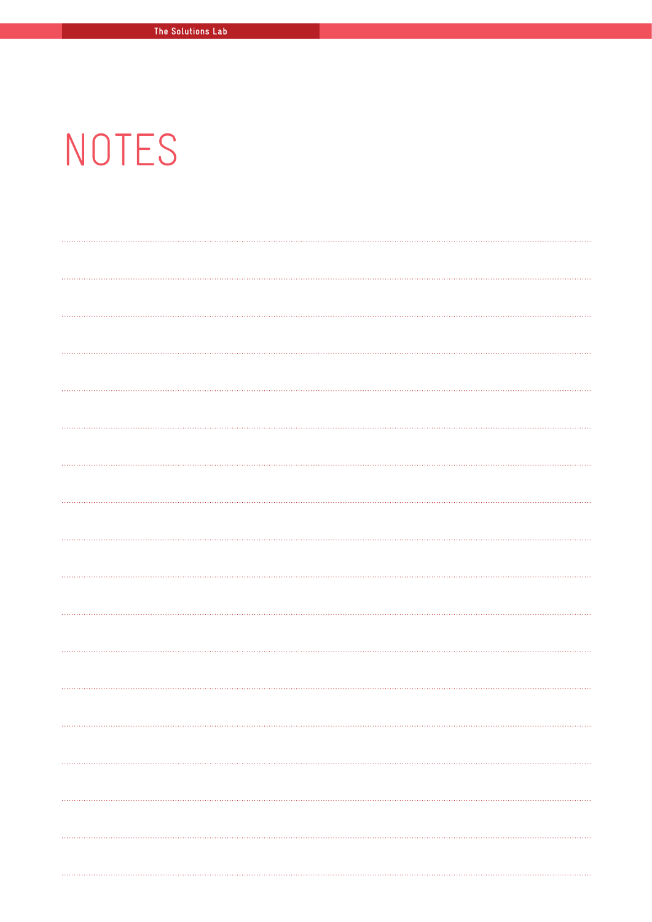# NOTES